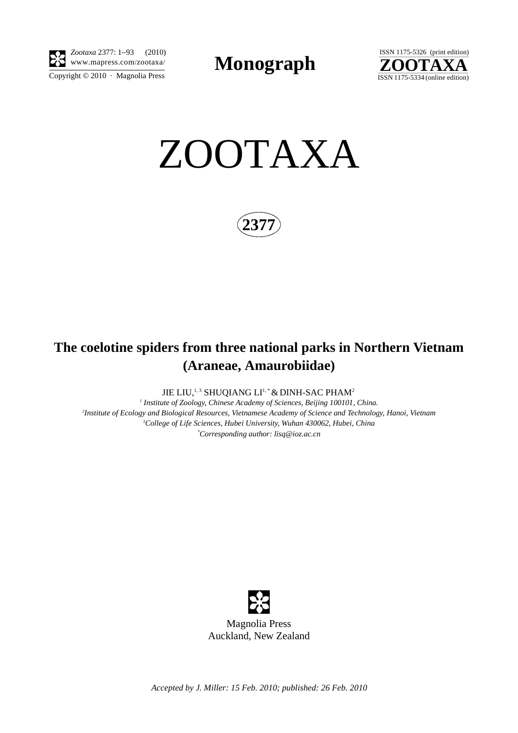

Copyright  $\odot$  2010 · Magnolia Press *Zootaxa* 2377: 1–93 (2010)

**Monograph** 



ZOOTAXA

**2377**

# **The coelotine spiders from three national parks in Northern Vietnam (Araneae, Amaurobiidae)**

JIE LIU,<sup>1,3</sup> SHUQIANG LI<sup>1,\*</sup> & DINH-SAC PHAM<sup>2</sup>

  *Institute of Zoology, Chinese Academy of Sciences, Beijing 100101, China. Institute of Ecology and Biological Resources, Vietnamese Academy of Science and Technology, Hanoi, Vietnam College of Life Sciences, Hubei University, Wuhan 430062, Hubei, China \* Corresponding author: lisq@ioz.ac.cn*



*Accepted by J. Miller: 15 Feb. 2010; published: 26 Feb. 2010*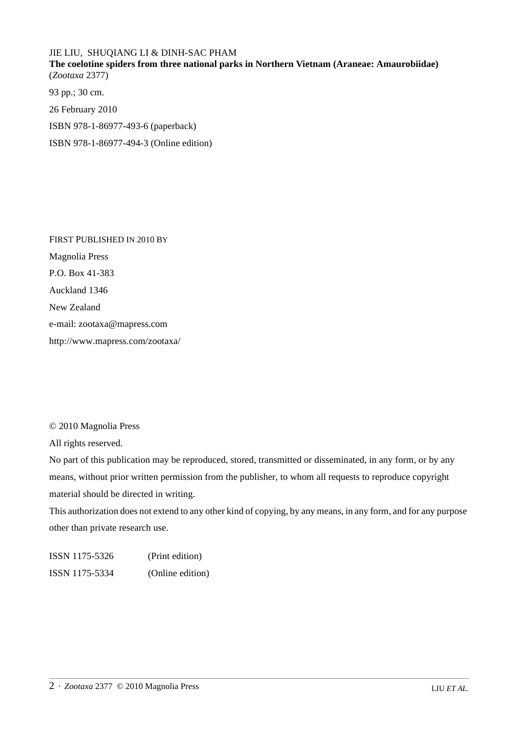## JIE LIU, SHUQIANG LI & DINH-SAC PHAM

**The coelotine spiders from three national parks in Northern Vietnam (Araneae: Amaurobiidae)** (*Zootaxa* 2377)

93 pp.; 30 cm. 26 February 2010 ISBN 978-1-86977-493-6 (paperback) ISBN 978-1-86977-494-3 (Online edition)

FIRST PUBLISHED IN 2010 BY Magnolia Press P.O. Box 41-383 Auckland 1346 New Zealand e-mail: zootaxa@mapress.com http://www.mapress.com/zootaxa/

## © 2010 Magnolia Press

All rights reserved.

No part of this publication may be reproduced, stored, transmitted or disseminated, in any form, or by any means, without prior written permission from the publisher, to whom all requests to reproduce copyright material should be directed in writing.

This authorization does not extend to any other kind of copying, by any means, in any form, and for any purpose other than private research use.

ISSN 1175-5326 (Print edition) ISSN 1175-5334 (Online edition)